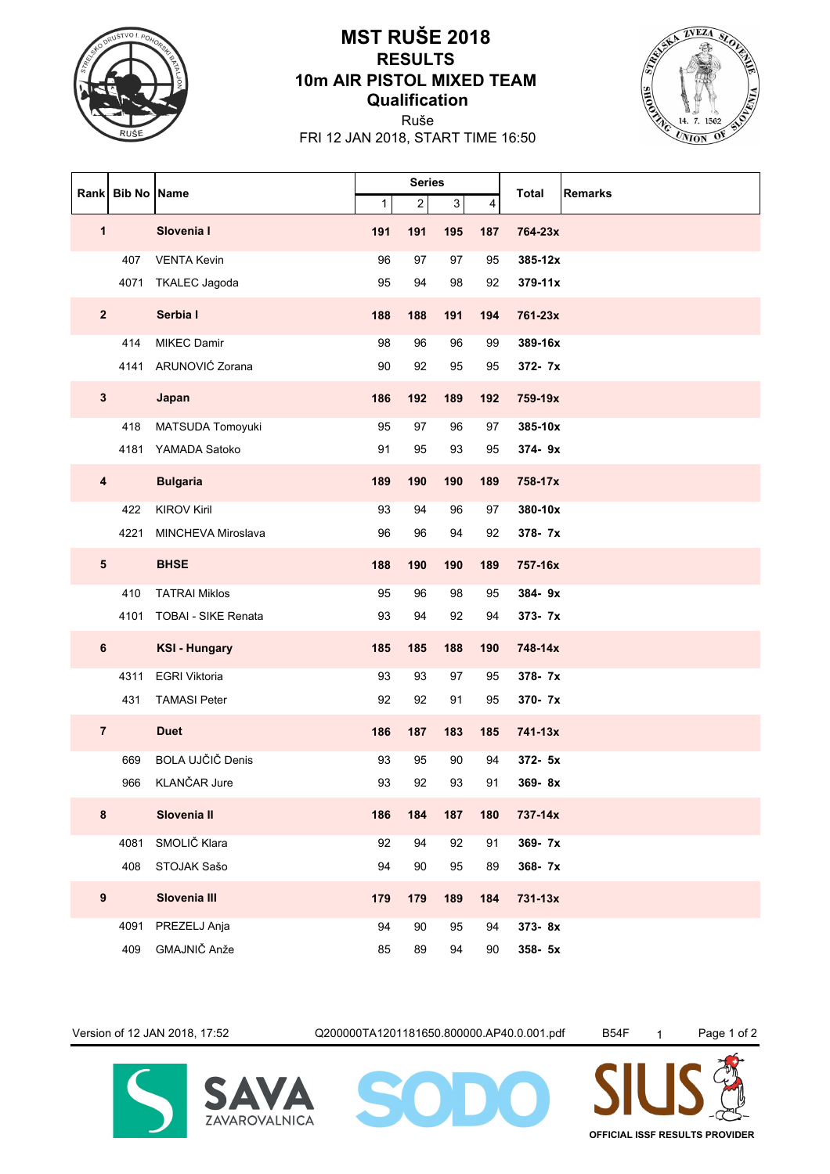

## **Qualification 10m AIR PISTOL MIXED TEAM RESULTS MST RUŠE 2018**

Ruše



FRI 12 JAN 2018, START TIME 16:50

|                |      | Rank Bib No Name           | <b>Series</b> |                  |     |     | <b>Total</b> | <b>Remarks</b> |
|----------------|------|----------------------------|---------------|------------------|-----|-----|--------------|----------------|
|                |      |                            | $\mathbf{1}$  | $\boldsymbol{2}$ | 3   | 4   |              |                |
| $\mathbf{1}$   |      | Slovenia I                 | 191           | 191              | 195 | 187 | 764-23x      |                |
|                | 407  | <b>VENTA Kevin</b>         | 96            | 97               | 97  | 95  | 385-12x      |                |
|                | 4071 | <b>TKALEC Jagoda</b>       | 95            | 94               | 98  | 92  | $379 - 11x$  |                |
| $\overline{2}$ |      | Serbia I                   | 188           | 188              | 191 | 194 | 761-23x      |                |
|                | 414  | <b>MIKEC Damir</b>         | 98            | 96               | 96  | 99  | 389-16x      |                |
|                | 4141 | ARUNOVIĆ Zorana            | 90            | 92               | 95  | 95  | 372- 7x      |                |
| $\mathbf 3$    |      | Japan                      | 186           | 192              | 189 | 192 | 759-19x      |                |
|                | 418  | MATSUDA Tomoyuki           | 95            | 97               | 96  | 97  | 385-10x      |                |
|                | 4181 | YAMADA Satoko              | 91            | 95               | 93  | 95  | 374-9x       |                |
| 4              |      | <b>Bulgaria</b>            | 189           | 190              | 190 | 189 | 758-17x      |                |
|                | 422  | <b>KIROV Kiril</b>         | 93            | 94               | 96  | 97  | 380-10x      |                |
|                | 4221 | MINCHEVA Miroslava         | 96            | 96               | 94  | 92  | 378-7x       |                |
| ${\bf 5}$      |      | <b>BHSE</b>                | 188           | 190              | 190 | 189 | 757-16x      |                |
|                | 410  | <b>TATRAI Miklos</b>       | 95            | 96               | 98  | 95  | 384-9x       |                |
|                | 4101 | <b>TOBAI - SIKE Renata</b> | 93            | 94               | 92  | 94  | 373- 7x      |                |
| 6              |      | <b>KSI - Hungary</b>       | 185           | 185              | 188 | 190 | 748-14x      |                |
|                | 4311 | <b>EGRI Viktoria</b>       | 93            | 93               | 97  | 95  | 378-7x       |                |
|                | 431  | <b>TAMASI Peter</b>        | 92            | 92               | 91  | 95  | 370-7x       |                |
| $\overline{7}$ |      | <b>Duet</b>                | 186           | 187              | 183 | 185 | 741-13x      |                |
|                | 669  | <b>BOLA UJČIČ Denis</b>    | 93            | 95               | 90  | 94  | 372- 5x      |                |
|                | 966  | <b>KLANČAR Jure</b>        | 93            | 92               | 93  | 91  | 369-8x       |                |
| 8              |      | Slovenia II                | 186           | 184              | 187 | 180 | 737-14x      |                |
|                | 4081 | SMOLIČ Klara               | 92            | 94               | 92  | 91  | 369-7x       |                |
|                | 408  | STOJAK Sašo                | 94            | $90\,$           | 95  | 89  | 368-7x       |                |
| 9              |      | Slovenia III               | 179           | 179              | 189 | 184 | 731-13x      |                |
|                | 4091 | PREZELJ Anja               | 94            | $90\,$           | 95  | 94  | 373-8x       |                |
|                | 409  | GMAJNIČ Anže               | 85            | 89               | 94  | 90  | 358-5x       |                |

ZAVAROVALNICA

Version of 12 JAN 2018, 17:52 Q200000TA1201181650.800000.AP40.0.001.pdf B54F 1 Page 1 of 2

SOD